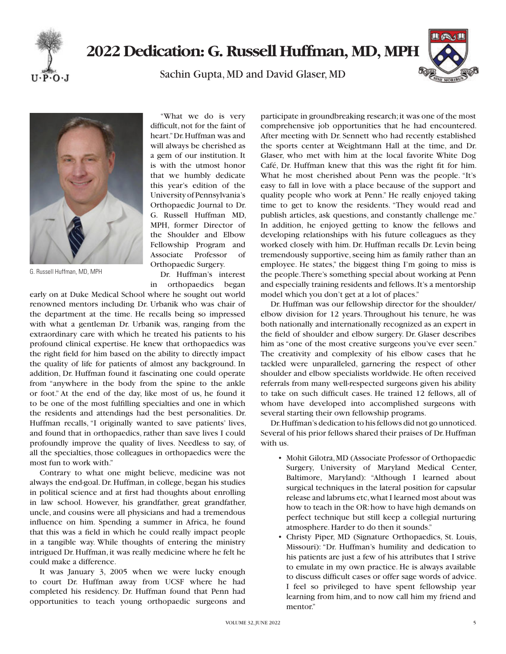

## **2022 Dedication: G. Russell Huffman, MD, MPH**

Sachin Gupta, MD and David Glaser, MD





G. Russell Huffman, MD, MPH

"What we do is very difficult, not for the faint of heart." Dr. Huffman was and will always be cherished as a gem of our institution. It is with the utmost honor that we humbly dedicate this year's edition of the University of Pennsylvania's Orthopaedic Journal to Dr. G. Russell Huffman MD, MPH, former Director of the Shoulder and Elbow Fellowship Program and Associate Professor of Orthopaedic Surgery.

Dr. Huffman's interest in orthopaedics began

early on at Duke Medical School where he sought out world renowned mentors including Dr. Urbanik who was chair of the department at the time. He recalls being so impressed with what a gentleman Dr. Urbanik was, ranging from the extraordinary care with which he treated his patients to his profound clinical expertise. He knew that orthopaedics was the right field for him based on the ability to directly impact the quality of life for patients of almost any background. In addition, Dr. Huffman found it fascinating one could operate from "anywhere in the body from the spine to the ankle or foot." At the end of the day, like most of us, he found it to be one of the most fulfilling specialties and one in which the residents and attendings had the best personalities. Dr. Huffman recalls, "I originally wanted to save patients' lives, and found that in orthopaedics, rather than save lives I could profoundly improve the quality of lives. Needless to say, of all the specialties, those colleagues in orthopaedics were the most fun to work with."

Contrary to what one might believe, medicine was not always the end-goal. Dr. Huffman, in college, began his studies in political science and at first had thoughts about enrolling in law school. However, his grandfather, great grandfather, uncle, and cousins were all physicians and had a tremendous influence on him. Spending a summer in Africa, he found that this was a field in which he could really impact people in a tangible way. While thoughts of entering the ministry intrigued Dr. Huffman, it was really medicine where he felt he could make a difference.

It was January 3, 2005 when we were lucky enough to court Dr. Huffman away from UCSF where he had completed his residency. Dr. Huffman found that Penn had opportunities to teach young orthopaedic surgeons and

participate in groundbreaking research; it was one of the most comprehensive job opportunities that he had encountered. After meeting with Dr. Sennett who had recently established the sports center at Weightmann Hall at the time, and Dr. Glaser, who met with him at the local favorite White Dog Café, Dr. Huffman knew that this was the right fit for him. What he most cherished about Penn was the people. "It's easy to fall in love with a place because of the support and quality people who work at Penn." He really enjoyed taking time to get to know the residents. "They would read and publish articles, ask questions, and constantly challenge me." In addition, he enjoyed getting to know the fellows and developing relationships with his future colleagues as they worked closely with him. Dr. Huffman recalls Dr. Levin being tremendously supportive, seeing him as family rather than an employee. He states," the biggest thing I'm going to miss is the people. There's something special about working at Penn and especially training residents and fellows. It's a mentorship model which you don't get at a lot of places."

Dr. Huffman was our fellowship director for the shoulder/ elbow division for 12 years. Throughout his tenure, he was both nationally and internationally recognized as an expert in the field of shoulder and elbow surgery. Dr. Glaser describes him as "one of the most creative surgeons you've ever seen." The creativity and complexity of his elbow cases that he tackled were unparalleled, garnering the respect of other shoulder and elbow specialists worldwide. He often received referrals from many well-respected surgeons given his ability to take on such difficult cases. He trained 12 fellows, all of whom have developed into accomplished surgeons with several starting their own fellowship programs.

Dr. Huffman's dedication to his fellows did not go unnoticed. Several of his prior fellows shared their praises of Dr. Huffman with us.

- Mohit Gilotra, MD (Associate Professor of Orthopaedic Surgery, University of Maryland Medical Center, Baltimore, Maryland): "Although I learned about surgical techniques in the lateral position for capsular release and labrums etc, what I learned most about was how to teach in the OR: how to have high demands on perfect technique but still keep a collegial nurturing atmosphere. Harder to do then it sounds."
- Christy Piper, MD (Signature Orthopaedics, St. Louis, Missouri): "Dr. Huffman's humility and dedication to his patients are just a few of his attributes that I strive to emulate in my own practice. He is always available to discuss difficult cases or offer sage words of advice. I feel so privileged to have spent fellowship year learning from him, and to now call him my friend and mentor."